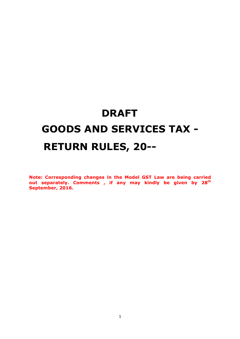# **DRAFT GOODS AND SERVICES TAX - RETURN RULES, 20--**

**Note: Corresponding changes in the Model GST Law are being carried out separately. Comments , if any may kindly be given by 28th September, 2016.**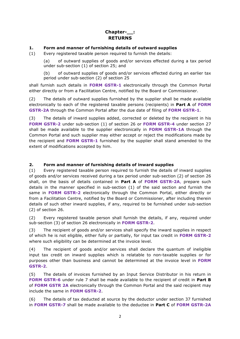## **Chapter-\_\_: RETURNS**

## **1. Form and manner of furnishing details of outward supplies**

(1) Every registered taxable person required to furnish the details:

(a) of outward supplies of goods and/or services effected during a tax period under sub-section (1) of section 25; and

(b) of outward supplies of goods and/or services effected during an earlier tax period under sub-section (2) of section 25

shall furnish such details in **FORM GSTR-1** electronically through the Common Portal either directly or from a Facilitation Centre, notified by the Board or Commissioner.

(2) The details of outward supplies furnished by the supplier shall be made available electronically to each of the registered taxable persons (recipients) in **Part A** of **FORM GSTR-2A** through the Common Portal after the due date of filing of **FORM GSTR-1**.

(3) The details of inward supplies added, corrected or deleted by the recipient in his **FORM GSTR-2** under sub-section (1) of section 26 or **FORM GSTR-4** under section 27 shall be made available to the supplier electronically in **FORM GSTR-1A** through the Common Portal and such supplier may either accept or reject the modifications made by the recipient and **FORM GSTR-1** furnished by the supplier shall stand amended to the extent of modifications accepted by him.

## **2. Form and manner of furnishing details of inward supplies**

(1) Every registered taxable person required to furnish the details of inward supplies of goods and/or services received during a tax period under sub-section (2) of section 26 shall, on the basis of details contained in **Part A** of **FORM GSTR-2A**, prepare such details in the manner specified in sub-section (1) of the said section and furnish the same in **FORM GSTR-2** electronically through the Common Portal, either directly or from a Facilitation Centre, notified by the Board or Commissioner, after including therein details of such other inward supplies, if any, required to be furnished under sub-section (2) of section 26.

(2) Every registered taxable person shall furnish the details, if any, required under sub-section (3) of section 26 electronically in **FORM GSTR-2**.

(3) The recipient of goods and/or services shall specify the inward supplies in respect of which he is not eligible, either fully or partially, for input tax credit in **FORM GSTR-2**  where such eligibility can be determined at the invoice level.

(4) The recipient of goods and/or services shall declare the quantum of ineligible input tax credit on inward supplies which is relatable to non-taxable supplies or for purposes other than business and cannot be determined at the invoice level in **FORM GSTR-2**.

(5) The details of invoices furnished by an Input Service Distributor in his return in **FORM GSTR-6** under rule 7 shall be made available to the recipient of credit in **Part B** of **FORM GSTR 2A** electronically through the Common Portal and the said recipient may include the same in **FORM GSTR-2**.

(6) The details of tax deducted at source by the deductor under section 37 furnished in **FORM GSTR-7** shall be made available to the deductee in **Part C** of **FORM GSTR-2A**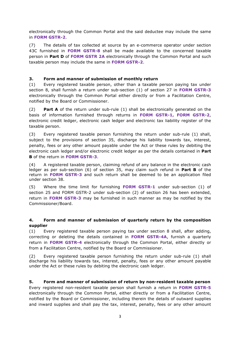electronically through the Common Portal and the said deductee may include the same in **FORM GSTR-2**.

(7) The details of tax collected at source by an e-commerce operator under section 43C furnished in **FORM GSTR-8** shall be made available to the concerned taxable person in **Part D** of **FORM GSTR 2A** electronically through the Common Portal and such taxable person may include the same in **FORM GSTR-2**.

## **3. Form and manner of submission of monthly return**

(1) Every registered taxable person, other than a taxable person paying tax under section 8, shall furnish a return under sub-section (1) of section 27 in **FORM GSTR-3** electronically through the Common Portal either directly or from a Facilitation Centre, notified by the Board or Commissioner.

(2) **Part A** of the return under sub-rule (1) shall be electronically generated on the basis of information furnished through returns in **FORM GSTR-1, FORM GSTR-2**, electronic credit ledger, electronic cash ledger and electronic tax liability register of the taxable person.

(3) Every registered taxable person furnishing the return under sub-rule (1) shall, subject to the provisions of section 35, discharge his liability towards tax, interest, penalty, fees or any other amount payable under the Act or these rules by debiting the electronic cash ledger and/or electronic credit ledger as per the details contained in **Part B** of the return in **FORM GSTR-3**.

(4) A registered taxable person, claiming refund of any balance in the electronic cash ledger as per sub-section (6) of section 35, may claim such refund in **Part B** of the return in **FORM GSTR-3** and such return shall be deemed to be an application filed under section 38.

(5) Where the time limit for furnishing **FORM GSTR-1** under sub-section (1) of section 25 and FORM GSTR-2 under sub-section (2) of section 26 has been extended, return in **FORM GSTR-3** may be furnished in such manner as may be notified by the Commissioner/Board.

## **4. Form and manner of submission of quarterly return by the composition supplier**

(1) Every registered taxable person paying tax under section 8 shall, after adding, correcting or deleting the details contained in **FORM GSTR-4A**, furnish a quarterly return in **FORM GSTR-4** electronically through the Common Portal, either directly or from a Facilitation Centre, notified by the Board or Commissioner.

(2) Every registered taxable person furnishing the return under sub-rule (1) shall discharge his liability towards tax, interest, penalty, fees or any other amount payable under the Act or these rules by debiting the electronic cash ledger.

#### **5. Form and manner of submission of return by non-resident taxable person**

Every registered non-resident taxable person shall furnish a return in **FORM GSTR-5**  electronically through the Common Portal, either directly or from a Facilitation Centre, notified by the Board or Commissioner, including therein the details of outward supplies and inward supplies and shall pay the tax, interest, penalty, fees or any other amount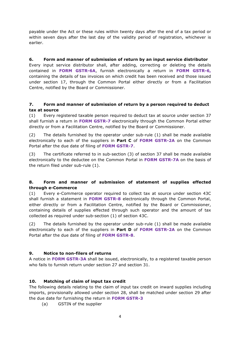payable under the Act or these rules within twenty days after the end of a tax period or within seven days after the last day of the validity period of registration, whichever is earlier.

### **6. Form and manner of submission of return by an input service distributor**

Every input service distributor shall, after adding, correcting or deleting the details contained in **FORM GSTR-6A**, furnish electronically a return in **FORM GSTR-6,**  containing the details of tax invoices on which credit has been received and those issued under section 17, through the Common Portal either directly or from a Facilitation Centre, notified by the Board or Commissioner.

## **7. Form and manner of submission of return by a person required to deduct tax at source**

(1) Every registered taxable person required to deduct tax at source under section 37 shall furnish a return in **FORM GSTR-7** electronically through the Common Portal either directly or from a Facilitation Centre, notified by the Board or Commissioner.

(2) The details furnished by the operator under sub-rule (1) shall be made available electronically to each of the suppliers in **Part C** of **FORM GSTR-2A** on the Common Portal after the due date of filing of **FORM GSTR-7**.

(3) The certificate referred to in sub-section (3) of section 37 shall be made available electronically to the deductee on the Common Portal in **FORM GSTR-7A** on the basis of the return filed under sub-rule (1).

## **8. Form and manner of submission of statement of supplies effected through e-Commerce**

(1) Every e-Commerce operator required to collect tax at source under section 43C shall furnish a statement in **FORM GSTR-8** electronically through the Common Portal, either directly or from a Facilitation Centre, notified by the Board or Commissioner, containing details of supplies effected through such operator and the amount of tax collected as required under sub-section (1) of section 43C.

(2) The details furnished by the operator under sub-rule (1) shall be made available electronically to each of the suppliers in **Part D** of **FORM GSTR-2A** on the Common Portal after the due date of filing of **FORM GSTR-8**.

#### **9. Notice to non-filers of returns**

A notice in **FORM GSTR-3A** shall be issued, electronically, to a registered taxable person who fails to furnish return under section 27 and section 31.

#### **10. Matching of claim of input tax credit**

The following details relating to the claim of input tax credit on inward supplies including imports, provisionally allowed under section 28, shall be matched under section 29 after the due date for furnishing the return in **FORM GSTR-3** 

(a) GSTIN of the supplier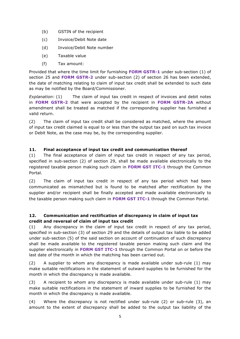- (b) GSTIN of the recipient
- (c) Invoice/Debit Note date
- (d) Invoice/Debit Note number
- (e) Taxable value
- (f) Tax amount:

Provided that where the time limit for furnishing **FORM GSTR-1** under sub-section (1) of section 25 and **FORM GSTR-2** under sub-section (2) of section 26 has been extended, the date of matching relating to claim of input tax credit shall be extended to such date as may be notified by the Board/Commissioner.

*Explanation:* (1) The claim of input tax credit in respect of invoices and debit notes in **FORM GSTR-2** that were accepted by the recipient in **FORM GSTR-2A** without amendment shall be treated as matched if the corresponding supplier has furnished a valid return.

(2) The claim of input tax credit shall be considered as matched, where the amount of input tax credit claimed is equal to or less than the output tax paid on such tax invoice or Debit Note, as the case may be, by the corresponding supplier.

## **11. Final acceptance of input tax credit and communication thereof**

(1) The final acceptance of claim of input tax credit in respect of any tax period, specified in sub-section (2) of section 29, shall be made available electronically to the registered taxable person making such claim in **FORM GST ITC-1** through the Common Portal.

(2) The claim of input tax credit in respect of any tax period which had been communicated as mismatched but is found to be matched after rectification by the supplier and/or recipient shall be finally accepted and made available electronically to the taxable person making such claim in **FORM GST ITC-1** through the Common Portal.

## **12. Communication and rectification of discrepancy in claim of input tax credit and reversal of claim of input tax credit**

(1) Any discrepancy in the claim of input tax credit in respect of any tax period, specified in sub-section (3) of section 29 and the details of output tax liable to be added under sub-section (5) of the said section on account of continuation of such discrepancy shall be made available to the registered taxable person making such claim and the supplier electronically in **FORM GST ITC-1** through the Common Portal on or before the last date of the month in which the matching has been carried out.

(2) A supplier to whom any discrepancy is made available under sub-rule (1) may make suitable rectifications in the statement of outward supplies to be furnished for the month in which the discrepancy is made available.

(3) A recipient to whom any discrepancy is made available under sub-rule (1) may make suitable rectifications in the statement of inward supplies to be furnished for the month in which the discrepancy is made available.

(4) Where the discrepancy is not rectified under sub-rule (2) or sub-rule (3), an amount to the extent of discrepancy shall be added to the output tax liability of the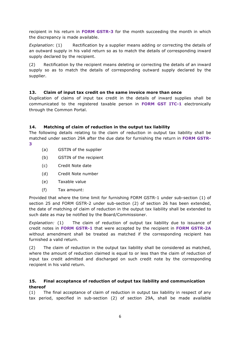recipient in his return in **FORM GSTR-3** for the month succeeding the month in which the discrepancy is made available.

*Explanation*: (1) Rectification by a supplier means adding or correcting the details of an outward supply in his valid return so as to match the details of corresponding inward supply declared by the recipient.

(2) Rectification by the recipient means deleting or correcting the details of an inward supply so as to match the details of corresponding outward supply declared by the supplier.

## **13. Claim of input tax credit on the same invoice more than once**

Duplication of claims of input tax credit in the details of inward supplies shall be communicated to the registered taxable person in **FORM GST ITC-1** electronically through the Common Portal.

## **14. Matching of claim of reduction in the output tax liability**

The following details relating to the claim of reduction in output tax liability shall be matched under section 29A after the due date for furnishing the return in **FORM GSTR-**

- **3**
- (a) GSTIN of the supplier
- (b) GSTIN of the recipient
- (c) Credit Note date
- (d) Credit Note number
- (e) Taxable value
- (f) Tax amount:

Provided that where the time limit for furnishing FORM GSTR-1 under sub-section (1) of section 25 and FORM GSTR-2 under sub-section (2) of section 26 has been extended, the date of matching of claim of reduction in the output tax liability shall be extended to such date as may be notified by the Board/Commissioner.

*Explanation:* (1) The claim of reduction of output tax liability due to issuance of credit notes in **FORM GSTR-1** that were accepted by the recipient in **FORM GSTR-2A** without amendment shall be treated as matched if the corresponding recipient has furnished a valid return.

(2) The claim of reduction in the output tax liability shall be considered as matched, where the amount of reduction claimed is equal to or less than the claim of reduction of input tax credit admitted and discharged on such credit note by the corresponding recipient in his valid return.

## **15. Final acceptance of reduction of output tax liability and communication thereof**

(1) The final acceptance of claim of reduction in output tax liability in respect of any tax period, specified in sub-section (2) of section 29A, shall be made available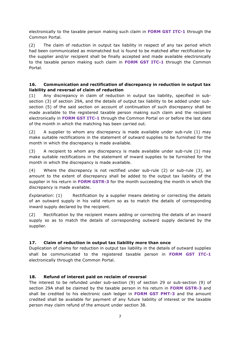electronically to the taxable person making such claim in **FORM GST ITC-1** through the Common Portal.

(2) The claim of reduction in output tax liability in respect of any tax period which had been communicated as mismatched but is found to be matched after rectification by the supplier and/or recipient shall be finally accepted and made available electronically to the taxable person making such claim in **FORM GST ITC-1** through the Common Portal.

#### **16. Communication and rectification of discrepancy in reduction in output tax liability and reversal of claim of reduction**

(1) Any discrepancy in claim of reduction in output tax liability, specified in subsection (3) of section 29A, and the details of output tax liability to be added under subsection (5) of the said section on account of continuation of such discrepancy shall be made available to the registered taxable person making such claim and the recipient electronically in **FORM GST ITC-1** through the Common Portal on or before the last date of the month in which the matching has been carried out.

(2) A supplier to whom any discrepancy is made available under sub-rule (1) may make suitable rectifications in the statement of outward supplies to be furnished for the month in which the discrepancy is made available.

(3) A recipient to whom any discrepancy is made available under sub-rule (1) may make suitable rectifications in the statement of inward supplies to be furnished for the month in which the discrepancy is made available.

(4) Where the discrepancy is not rectified under sub-rule (2) or sub-rule (3), an amount to the extent of discrepancy shall be added to the output tax liability of the supplier in his return in **FORM GSTR-3** for the month succeeding the month in which the discrepancy is made available.

*Explanation*: (1) Rectification by a supplier means deleting or correcting the details of an outward supply in his valid return so as to match the details of corresponding inward supply declared by the recipient.

(2) Rectification by the recipient means adding or correcting the details of an inward supply so as to match the details of corresponding outward supply declared by the supplier.

#### **17. Claim of reduction in output tax liability more than once**

Duplication of claims for reduction in output tax liability in the details of outward supplies shall be communicated to the registered taxable person in **FORM GST ITC-1**  electronically through the Common Portal.

#### **18. Refund of interest paid on reclaim of reversal**

The interest to be refunded under sub-section (9) of section 29 or sub-section (9) of section 29A shall be claimed by the taxable person in his return in **FORM GSTR-3** and shall be credited to his electronic cash ledger in **FORM GST PMT-3** and the amount credited shall be available for payment of any future liability of interest or the taxable person may claim refund of the amount under section 38.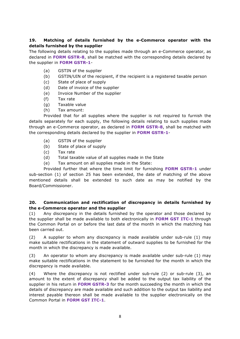## **19. Matching of details furnished by the e-Commerce operator with the details furnished by the supplier**

The following details relating to the supplies made through an e-Commerce operator, as declared in **FORM GSTR-8**, shall be matched with the corresponding details declared by the supplier in **FORM GSTR-1**-

- (a) GSTIN of the supplier
- (b) GSTIN/UIN of the recipient, if the recipient is a registered taxable person
- (c) State of place of supply
- (d) Date of invoice of the supplier
- (e) Invoice Number of the supplier
- (f) Tax rate
- (g) Taxable value
- (h) Tax amount:

Provided that for all supplies where the supplier is not required to furnish the details separately for each supply, the following details relating to such supplies made through an e-Commerce operator, as declared in **FORM GSTR-8**, shall be matched with the corresponding details declared by the supplier in **FORM GSTR-1**-

- (a) GSTIN of the supplier
- (b) State of place of supply
- (c) Tax rate
- (d) Total taxable value of all supplies made in the State
- (e) Tax amount on all supplies made in the State:

Provided further that where the time limit for furnishing **FORM GSTR-1** under sub-section (1) of section 25 has been extended, the date of matching of the above mentioned details shall be extended to such date as may be notified by the Board/Commissioner.

#### **20. Communication and rectification of discrepancy in details furnished by the e-Commerce operator and the supplier**

(1) Any discrepancy in the details furnished by the operator and those declared by the supplier shall be made available to both electronically in **FORM GST ITC-1** through the Common Portal on or before the last date of the month in which the matching has been carried out.

(2) A supplier to whom any discrepancy is made available under sub-rule (1) may make suitable rectifications in the statement of outward supplies to be furnished for the month in which the discrepancy is made available.

(3) An operator to whom any discrepancy is made available under sub-rule (1) may make suitable rectifications in the statement to be furnished for the month in which the discrepancy is made available.

(4) Where the discrepancy is not rectified under sub-rule (2) or sub-rule (3), an amount to the extent of discrepancy shall be added to the output tax liability of the supplier in his return in **FORM GSTR-3** for the month succeeding the month in which the details of discrepancy are made available and such addition to the output tax liability and interest payable thereon shall be made available to the supplier electronically on the Common Portal in **FORM GST ITC-1**.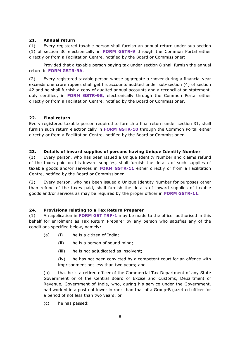#### **21. Annual return**

(1) Every registered taxable person shall furnish an annual return under sub-section (1) of section 30 electronically in **FORM GSTR-9** through the Common Portal either directly or from a Facilitation Centre, notified by the Board or Commissioner:

Provided that a taxable person paying tax under section 8 shall furnish the annual return in **FORM GSTR-9A**.

(2) Every registered taxable person whose aggregate turnover during a financial year exceeds one crore rupees shall get his accounts audited under sub-section (4) of section 42 and he shall furnish a copy of audited annual accounts and a reconciliation statement, duly certified, in **FORM GSTR-9B,** electronically through the Common Portal either directly or from a Facilitation Centre, notified by the Board or Commissioner.

#### **22. Final return**

Every registered taxable person required to furnish a final return under section 31, shall furnish such return electronically in **FORM GSTR-10** through the Common Portal either directly or from a Facilitation Centre, notified by the Board or Commissioner.

#### **23. Details of inward supplies of persons having Unique Identity Number**

(1) Every person, who has been issued a Unique Identity Number and claims refund of the taxes paid on his inward supplies, shall furnish the details of such supplies of taxable goods and/or services in **FORM GSTR-11** either directly or from a Facilitation Centre, notified by the Board or Commissioner.

(2) Every person, who has been issued a Unique Identity Number for purposes other than refund of the taxes paid, shall furnish the details of inward supplies of taxable goods and/or services as may be required by the proper officer in **FORM GSTR-11**.

#### **24. Provisions relating to a Tax Return Preparer**

(1) An application in **FORM GST TRP-1** may be made to the officer authorised in this behalf for enrolment as Tax Return Preparer by any person who satisfies any of the conditions specified below, namely:

- (a) (i) he is a citizen of India;
	- (ii) he is a person of sound mind;
	- (iii) he is not adjudicated as insolvent;

(iv) he has not been convicted by a competent court for an offence with imprisonment not less than two years; and

(b) that he is a retired officer of the Commercial Tax Department of any State Government or of the Central Board of Excise and Customs, Department of Revenue, Government of India, who, during his service under the Government, had worked in a post not lower in rank than that of a Group-B gazetted officer for a period of not less than two years; or

(c) he has passed: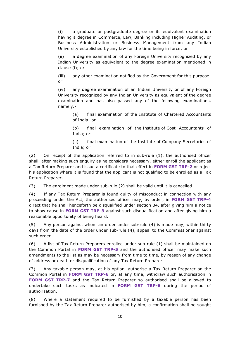(i) a graduate or postgraduate degree or its equivalent examination having a degree in Commerce, Law, Banking including Higher Auditing, or Business Administration or Business Management from any Indian University established by any law for the time being in force; or

(ii) a degree examination of any Foreign University recognized by any Indian University as equivalent to the degree examination mentioned in clause (i); or

(iii) any other examination notified by the Government for this purpose; or

(iv) any degree examination of an Indian University or of any Foreign University recognized by any Indian University as equivalent of the degree examination and has also passed any of the following examinations, namely.-

(a) final examination of the Institute of Chartered Accountants of India; or

(b) final examination of the Institute of Cost Accountants of India; or

(c) final examination of the Institute of Company Secretaries of India; or

(2) On receipt of the application referred to in sub-rule (1), the authorised officer shall, after making such enquiry as he considers necessary, either enroll the applicant as a Tax Return Preparer and issue a certificate to that effect in **FORM GST TRP-2** or reject his application where it is found that the applicant is not qualified to be enrolled as a Tax Return Preparer.

(3) The enrolment made under sub-rule (2) shall be valid until it is cancelled.

(4) If any Tax Return Preparer is found guilty of misconduct in connection with any proceeding under the Act, the authorised officer may, by order, in **FORM GST TRP-4** direct that he shall henceforth be disqualified under section 34, after giving him a notice to show cause in **FORM GST TRP-3** against such disqualification and after giving him a reasonable opportunity of being heard.

(5) Any person against whom an order under sub-rule (4) is made may, within thirty days from the date of the order under sub-rule (4), appeal to the Commissioner against such order.

(6) A list of Tax Return Preparers enrolled under sub-rule (1) shall be maintained on the Common Portal in **FORM GST TRP-5** and the authorised officer may make such amendments to the list as may be necessary from time to time, by reason of any change of address or death or disqualification of any Tax Return Preparer.

(7) Any taxable person may, at his option, authorise a Tax Return Preparer on the Common Portal in **FORM GST TRP-6** or, at any time, withdraw such authorisation in **FORM GST TRP-7** and the Tax Return Preparer so authorised shall be allowed to undertake such tasks as indicated in **FORM GST TRP-6** during the period of authorisation.

(8) Where a statement required to be furnished by a taxable person has been furnished by the Tax Return Preparer authorised by him, a confirmation shall be sought